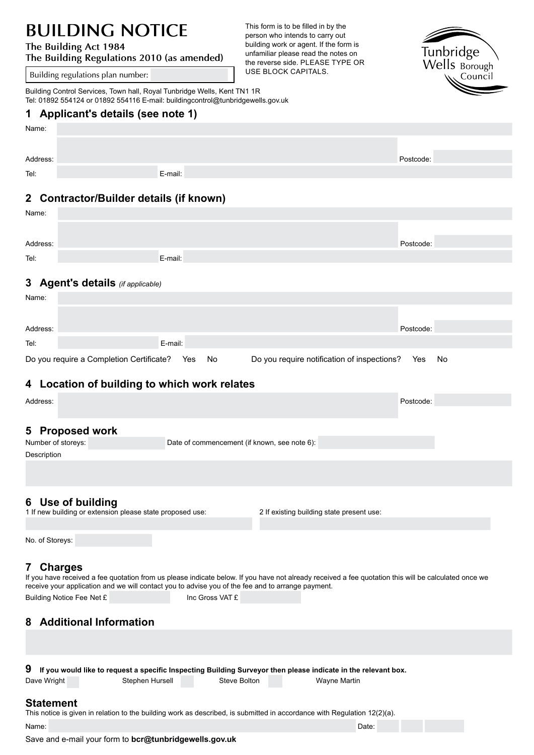# **BUILDING NOTICE**

#### **The Building Act 1984**

**The Building Regulations 2010 (as amended)**

Building regulations plan number:

This form is to be filled in by the person who intends to carry out building work or agent. If the form is unfamiliar please read the notes on the reverse side. PLEASE TYPE OR<br>USE BLOCK CAPITALS.



#### Building Control Services, Town hall, Royal Tunbridge Wells, Kent TN1 1R Tel: 01892 554124 or 01892 554116 E-mail: buildingcontrol@tunbridgewells.gov.uk

### **1 Applicant's details (see note 1)**

| Name:                                   |  |         |  |           |  |  |  |
|-----------------------------------------|--|---------|--|-----------|--|--|--|
|                                         |  |         |  |           |  |  |  |
| Address:                                |  |         |  | Postcode: |  |  |  |
| Tel:                                    |  | E-mail: |  |           |  |  |  |
|                                         |  |         |  |           |  |  |  |
| 2 Contractor/Builder details (if known) |  |         |  |           |  |  |  |

# **2 Contractor/Builder details (if known)**

| Name:    |                                          |           |                                             |           |    |
|----------|------------------------------------------|-----------|---------------------------------------------|-----------|----|
|          |                                          |           |                                             |           |    |
| Address: |                                          |           |                                             | Postcode: |    |
| Tel:     | E-mail:                                  |           |                                             |           |    |
|          |                                          |           |                                             |           |    |
|          | 3 Agent's details (if applicable)        |           |                                             |           |    |
| Name:    |                                          |           |                                             |           |    |
|          |                                          |           |                                             |           |    |
| Address: |                                          |           |                                             | Postcode: |    |
| Tel:     | E-mail:                                  |           |                                             |           |    |
|          | Do you require a Completion Certificate? | No<br>Yes | Do you require notification of inspections? | Yes       | No |

## **4 Location of building to which work relates**

| Address:                                                                                                                                                                                                                                                  |                                              | Postcode:                                 |  |  |  |  |  |  |
|-----------------------------------------------------------------------------------------------------------------------------------------------------------------------------------------------------------------------------------------------------------|----------------------------------------------|-------------------------------------------|--|--|--|--|--|--|
|                                                                                                                                                                                                                                                           |                                              |                                           |  |  |  |  |  |  |
| <b>Proposed work</b><br>5                                                                                                                                                                                                                                 |                                              |                                           |  |  |  |  |  |  |
| Number of storeys:                                                                                                                                                                                                                                        | Date of commencement (if known, see note 6): |                                           |  |  |  |  |  |  |
| Description                                                                                                                                                                                                                                               |                                              |                                           |  |  |  |  |  |  |
|                                                                                                                                                                                                                                                           |                                              |                                           |  |  |  |  |  |  |
|                                                                                                                                                                                                                                                           |                                              |                                           |  |  |  |  |  |  |
| 6 Use of building                                                                                                                                                                                                                                         |                                              |                                           |  |  |  |  |  |  |
| 1 If new building or extension please state proposed use:                                                                                                                                                                                                 |                                              | 2 If existing building state present use: |  |  |  |  |  |  |
|                                                                                                                                                                                                                                                           |                                              |                                           |  |  |  |  |  |  |
| No. of Storeys:                                                                                                                                                                                                                                           |                                              |                                           |  |  |  |  |  |  |
|                                                                                                                                                                                                                                                           |                                              |                                           |  |  |  |  |  |  |
| <b>Charges</b><br>$\mathbf{7}$                                                                                                                                                                                                                            |                                              |                                           |  |  |  |  |  |  |
| If you have received a fee quotation from us please indicate below. If you have not already received a fee quotation this will be calculated once we<br>receive your application and we will contact you to advise you of the fee and to arrange payment. |                                              |                                           |  |  |  |  |  |  |
| Building Notice Fee Net £                                                                                                                                                                                                                                 | Inc Gross VAT £                              |                                           |  |  |  |  |  |  |
|                                                                                                                                                                                                                                                           |                                              |                                           |  |  |  |  |  |  |
| <b>Additional Information</b><br>8                                                                                                                                                                                                                        |                                              |                                           |  |  |  |  |  |  |
|                                                                                                                                                                                                                                                           |                                              |                                           |  |  |  |  |  |  |
|                                                                                                                                                                                                                                                           |                                              |                                           |  |  |  |  |  |  |
|                                                                                                                                                                                                                                                           |                                              |                                           |  |  |  |  |  |  |
| 9<br>If you would like to request a specific Inspecting Building Surveyor then please indicate in the relevant box.                                                                                                                                       |                                              |                                           |  |  |  |  |  |  |

 $\bm{9}$   $\;$  If you would like to request a specific Inspecting Building Surveyor then please indicate in the relevant box. Dave Wright **Stephen Hursell** Steve Bolton Steve Wayne Martin

**Statement** This notice is given in relation to the building work as described, is submitted in accordance with Regulation 12(2)(a).

Name: Date: